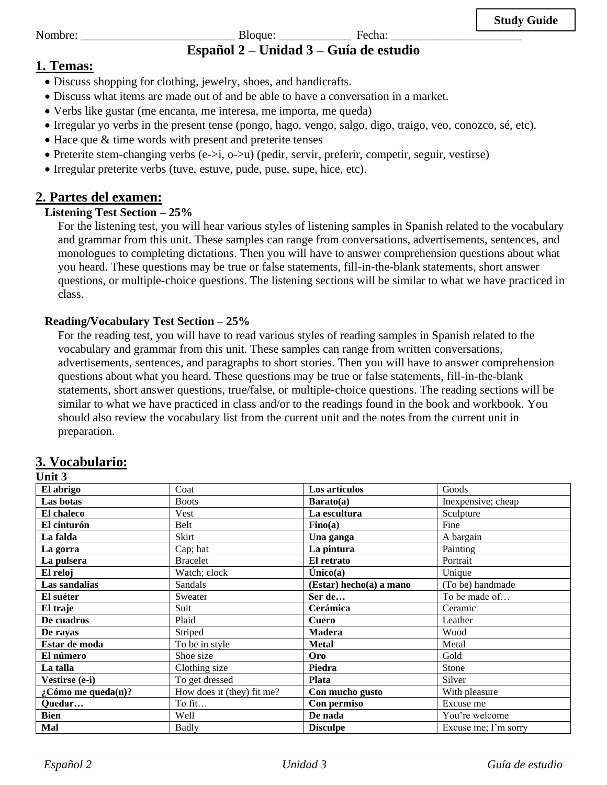Nombre: \_\_\_\_\_\_\_\_\_\_\_\_\_\_\_\_\_\_\_\_\_\_\_\_\_\_ Bloque: \_\_\_\_\_\_\_\_\_\_\_\_ Fecha: \_\_\_\_\_\_\_\_\_\_\_\_\_\_\_\_\_\_\_\_\_\_

# **Español 2 – Unidad 3 – Guía de estudio**

### **1. Temas:**

- Discuss shopping for clothing, jewelry, shoes, and handicrafts.
- Discuss what items are made out of and be able to have a conversation in a market.
- Verbs like gustar (me encanta, me interesa, me importa, me queda)
- Irregular yo verbs in the present tense (pongo, hago, vengo, salgo, digo, traigo, veo, conozco, sé, etc).
- Hace que & time words with present and preterite tenses
- Preterite stem-changing verbs (e->i, o->u) (pedir, servir, preferir, competir, seguir, vestirse)
- Irregular preterite verbs (tuve, estuve, pude, puse, supe, hice, etc).

### **2. Partes del examen:**

### **Listening Test Section – 25%**

For the listening test, you will hear various styles of listening samples in Spanish related to the vocabulary and grammar from this unit. These samples can range from conversations, advertisements, sentences, and monologues to completing dictations. Then you will have to answer comprehension questions about what you heard. These questions may be true or false statements, fill-in-the-blank statements, short answer questions, or multiple-choice questions. The listening sections will be similar to what we have practiced in class.

### **Reading/Vocabulary Test Section – 25%**

For the reading test, you will have to read various styles of reading samples in Spanish related to the vocabulary and grammar from this unit. These samples can range from written conversations, advertisements, sentences, and paragraphs to short stories. Then you will have to answer comprehension questions about what you heard. These questions may be true or false statements, fill-in-the-blank statements, short answer questions, true/false, or multiple-choice questions. The reading sections will be similar to what we have practiced in class and/or to the readings found in the book and workbook. You should also review the vocabulary list from the current unit and the notes from the current unit in preparation.

### **3. Vocabulario:**

### **Unit 3**

| El abrigo             | Coat                       | Los artículos               | Goods                |
|-----------------------|----------------------------|-----------------------------|----------------------|
| Las botas             | <b>Boots</b>               | Barato(a)                   | Inexpensive; cheap   |
| El chaleco            | Vest                       | La escultura                | Sculpture            |
| El cinturón           | Belt                       | $\textbf{Fino}(\mathbf{a})$ | Fine                 |
| La falda              | Skirt                      | Una ganga                   | A bargain            |
| La gorra              | Cap; hat                   | La pintura                  | Painting             |
| La pulsera            | <b>Bracelet</b>            | El retrato                  | Portrait             |
| El reloj              | Watch; clock               | $\hat{\text{Unicode}}(a)$   | Unique               |
| Las sandalias         | Sandals                    | (Estar) hecho(a) a mano     | (To be) handmade     |
| El suéter             | Sweater                    | Ser de                      | To be made of        |
| El traje              | Suit                       | Cerámica                    | Ceramic              |
| De cuadros            | Plaid                      | <b>Cuero</b>                | Leather              |
| De rayas              | Striped                    | <b>Madera</b>               | Wood                 |
| Estar de moda         | To be in style             | <b>Metal</b>                | Metal                |
| El número             | Shoe size                  | Oro                         | Gold                 |
| La talla              | Clothing size              | Piedra                      | Stone                |
| Vestirse (e-i)        | To get dressed             | Plata                       | Silver               |
| $:$ Cómo me queda(n)? | How does it (they) fit me? | Con mucho gusto             | With pleasure        |
| Quedar                | To fit                     | Con permiso                 | Excuse me            |
| <b>Bien</b>           | Well                       | De nada                     | You're welcome       |
| Mal                   | <b>Badly</b>               | <b>Disculpe</b>             | Excuse me; I'm sorry |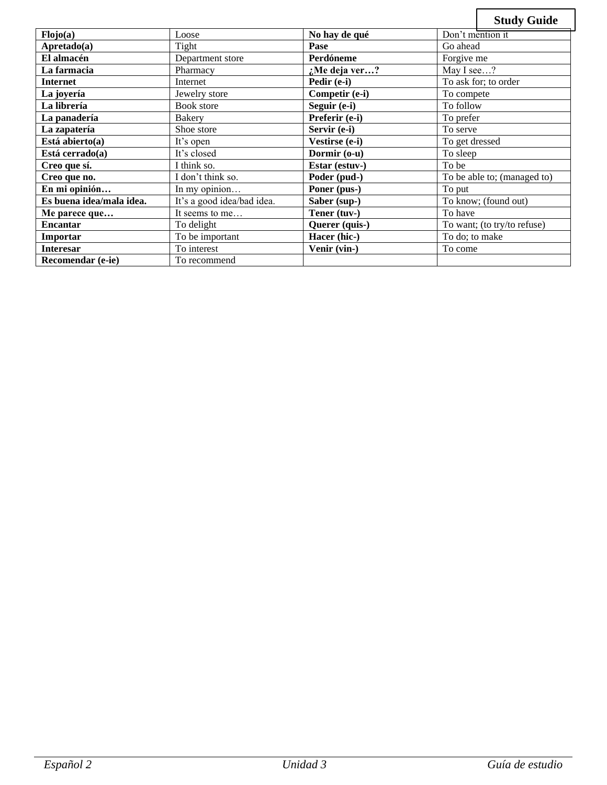|                          |                              |                | <b>Study Guide</b>          |
|--------------------------|------------------------------|----------------|-----------------------------|
| Flojo(a)                 | Loose                        | No hay de qué  | Don't mention it            |
| Apretado(a)              | Tight                        | Pase           | Go ahead                    |
| El almacén               | Department store             | Perdóneme      | Forgive me                  |
| La farmacia              | Pharmacy                     | :Me deja ver?  | May I see?                  |
| <b>Internet</b>          | Internet                     | Pedir (e-i)    | To ask for; to order        |
| La joyería               | Jewelry store                | Competir (e-i) | To compete                  |
| La librería              | Book store                   | Seguir (e-i)   | To follow                   |
| La panadería             | <b>Bakery</b>                | Preferir (e-i) | To prefer                   |
| La zapatería             | Shoe store                   | Servir (e-i)   | To serve                    |
| Está abierto(a)          | It's open                    | Vestirse (e-i) | To get dressed              |
| Está cerrado(a)          | It's closed                  | Dormir (o-u)   | To sleep                    |
| Creo que sí.             | I think so.                  | Estar (estuv-) | To be                       |
| Creo que no.             | I don't think so.            | Poder (pud-)   | To be able to; (managed to) |
| En mi opinión            | $\overline{\ln m}$ y opinion | Poner (pus-)   | To put                      |
| Es buena idea/mala idea. | It's a good idea/bad idea.   | Saber (sup-)   | To know; (found out)        |
| Me parece que            | It seems to me               | Tener (tuv-)   | To have                     |
| <b>Encantar</b>          | To delight                   | Querer (quis-) | To want; (to try/to refuse) |
| Importar                 | To be important              | Hacer (hic-)   | To do; to make              |
| <b>Interesar</b>         | To interest                  | Venir (vin-)   | To come                     |
| Recomendar (e-ie)        | To recommend                 |                |                             |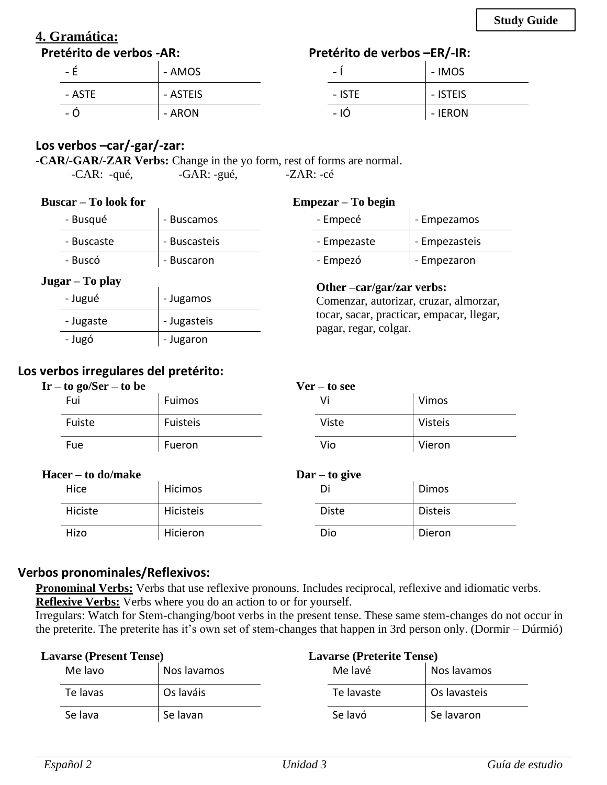### **4. Gramática: Pretérito de verbos -AR:**

### **Pretérito de verbos –ER/-IR:**

| $\overline{\phantom{a}}$ | - IMOS   |
|--------------------------|----------|
| - ISTE                   | - ISTEIS |
| - 10                     | - IERON  |

# **Los verbos –car/-gar/-zar:**

 $-$  É  $-$  AMOS

- ASTE  $\vert$  - ASTEIS  $-$  Ó  $-$  ARON

**-CAR/-GAR/-ZAR Verbs:** Change in the yo form, rest of forms are normal. -CAR: -qué, -GAR: -gué, -ZAR: -cé

### **Buscar – To look for**

| - Busqué   | - Buscamos   |
|------------|--------------|
| - Buscaste | - Buscasteis |
| - Buscó    | - Buscaron   |

### **Jugar – To play**

| - Jugué   | - Jugamos   |
|-----------|-------------|
| - Jugaste | - Jugasteis |
| - Jugó    | - Jugaron   |

# **Los verbos irregulares del pretérito:**

| $Ir - to go/Ser - to be$ |                    |          | $Ver - to see$                    |                |  |
|--------------------------|--------------------|----------|-----------------------------------|----------------|--|
|                          | Fui                | Fuimos   | Vi                                | Vimos          |  |
|                          | Fuiste             | Fuisteis | Viste                             | <b>Visteis</b> |  |
|                          | Fue                | Fueron   | Vio                               | Vieron         |  |
|                          | Hacer – to do/make |          | $\textbf{Dar} - \textbf{to give}$ |                |  |
|                          | Hilac              | L        | n:                                | Dima           |  |

### **Hacer – to do/make**

| Hice    | Hicimos   | $\bullet$<br>וט | Dimos          |
|---------|-----------|-----------------|----------------|
| Hiciste | Hicisteis | <b>Diste</b>    | <b>Disteis</b> |
| Hizo    | Hicieron  | Dio             | Dieron         |

### **Verbos pronominales/Reflexivos:**

**Pronominal Verbs:** Verbs that use reflexive pronouns. Includes reciprocal, reflexive and idiomatic verbs. **Reflexive Verbs:** Verbs where you do an action to or for yourself.

Irregulars: Watch for Stem-changing/boot verbs in the present tense. These same stem-changes do not occur in the preterite. The preterite has it's own set of stem-changes that happen in 3rd person only. (Dormir – Dúrmió)

| <b>Lavarse (Present Tense)</b> |          | <b>Lavarse (Preterite Tense)</b> |            |              |
|--------------------------------|----------|----------------------------------|------------|--------------|
|                                | Me lavo  | Nos lavamos                      | Me lavé    | Nos lavamos  |
|                                | Te lavas | Os laváis                        | Te lavaste | Os lavasteis |
|                                | Se lava  | Se lavan                         | Se lavó    | Se lavaron   |

### **Empezar – To begin**

| 1με <i>ι</i> αι – το σεgin |          |               |
|----------------------------|----------|---------------|
|                            | - Empecé | - Empezamos   |
| - Empezaste                |          | - Empezasteis |
| - Empezó                   |          | - Empezaron   |

### **Other –car/gar/zar verbs:**

Comenzar, autorizar, cruzar, almorzar, tocar, sacar, practicar, empacar, llegar, pagar, regar, colgar.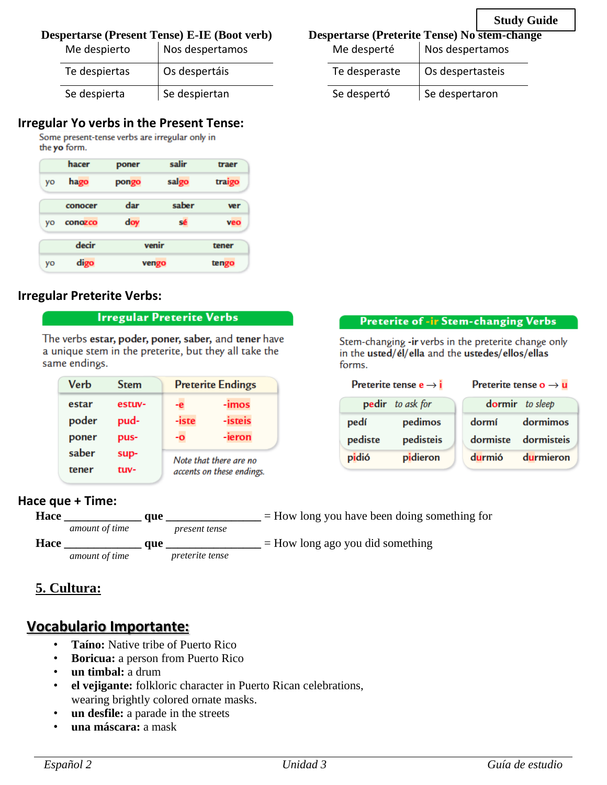### **Despertarse (Present Tense) E-IE (Boot verb)**

| Me despierto  | Nos despertamos |  |
|---------------|-----------------|--|
| Te despiertas | Os despertáis   |  |
| Se despierta  | Se despiertan   |  |

# **Irregular Yo verbs in the Present Tense:**

the yo form.

|    | hacer   | poner | salir | traer  |
|----|---------|-------|-------|--------|
| yo | hago    | pongo | salgo | traigo |
|    | conocer | dar   | saber | ver    |
| VO | conozco | doy   | sé    | veo    |
|    | decir   | venir |       | tener  |
| yo | digo    | vengo |       | tengo  |

### **Irregular Preterite Verbs:**

### **Irregular Preterite Verbs**

The verbs estar, poder, poner, saber, and tener have a unique stem in the preterite, but they all take the same endings.

| Verb  | Stem   |                           | <b>Preterite Endings</b> |  |
|-------|--------|---------------------------|--------------------------|--|
| estar | estuv- | -e                        | -imos                    |  |
| poder | pud-   | -iste                     | -isteis                  |  |
| poner | pus-   | -0                        | -ieron                   |  |
| saber | sup-   | Note that there are no    |                          |  |
| tener | tuv-   | accents on these endings. |                          |  |

### **Hace que + Time:**



### **5. Cultura:**

# **Vocabulario Importante:**

- **Taíno:** Native tribe of Puerto Rico
- **Boricua:** a person from Puerto Rico
- **un timbal:** a drum
- **el vejigante:** folkloric character in Puerto Rican celebrations, wearing brightly colored ornate masks.
- **un desfile:** a parade in the streets
- **una máscara:** a mask

### **Despertarse (Preterite Tense) No stem-change**

**Study Guide**

| Me desperté   | Nos despertamos  |
|---------------|------------------|
| Te desperaste | Os despertasteis |
| Se despertó   | Se despertaron   |

### **Preterite of -ir Stem-changing Verbs**

Stem-changing -ir verbs in the preterite change only in the usted/el/ella and the ustedes/ellos/ellas forms.

| Preterite tense $e \rightarrow i$ |                  | Preterite tense $o \rightarrow u$ |  |
|-----------------------------------|------------------|-----------------------------------|--|
|                                   | dormir to sleep  |                                   |  |
| pedimos                           | dormí            | dormimos                          |  |
| pedisteis                         | dormiste         | dormisteis                        |  |
| pidieron                          | <b>durmió</b>    | durmieron                         |  |
|                                   | pedir to ask for |                                   |  |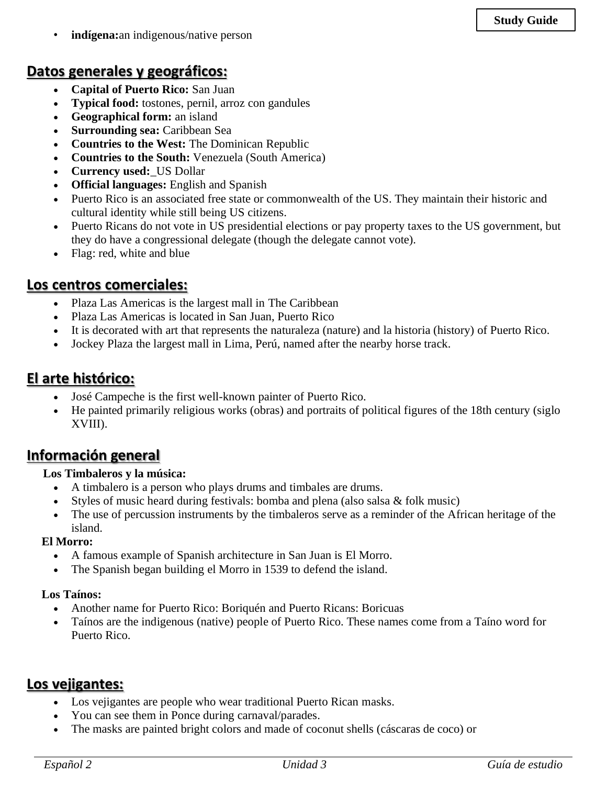• **indígena:**an indigenous/native person

# **Datos generales y geográficos:**

- **Capital of Puerto Rico:** San Juan
- **Typical food:** tostones, pernil, arroz con gandules
- **Geographical form:** an island
- **Surrounding sea:** Caribbean Sea
- **Countries to the West:** The Dominican Republic
- **Countries to the South:** Venezuela (South America)
- **Currency used:**\_US Dollar
- **Official languages:** English and Spanish
- Puerto Rico is an associated free state or commonwealth of the US. They maintain their historic and cultural identity while still being US citizens.
- Puerto Ricans do not vote in US presidential elections or pay property taxes to the US government, but they do have a congressional delegate (though the delegate cannot vote).
- Flag: red, white and blue

# **Los centros comerciales:**

- Plaza Las Americas is the largest mall in The Caribbean
- Plaza Las Americas is located in San Juan, Puerto Rico
- It is decorated with art that represents the naturaleza (nature) and la historia (history) of Puerto Rico.
- Jockey Plaza the largest mall in Lima, Perú, named after the nearby horse track.

# **El arte histórico:**

- José Campeche is the first well-known painter of Puerto Rico.
- He painted primarily religious works (obras) and portraits of political figures of the 18th century (siglo XVIII).

# **Información general**

### **Los Timbaleros y la música:**

- A timbalero is a person who plays drums and timbales are drums.
- Styles of music heard during festivals: bomba and plena (also salsa  $\&$  folk music)
- The use of percussion instruments by the timbaleros serve as a reminder of the African heritage of the island.

### **El Morro:**

- A famous example of Spanish architecture in San Juan is El Morro.
- The Spanish began building el Morro in 1539 to defend the island.

### **Los Taínos:**

- Another name for Puerto Rico: Boriquén and Puerto Ricans: Boricuas
- Taínos are the indigenous (native) people of Puerto Rico. These names come from a Taíno word for Puerto Rico.

# **Los vejigantes:**

- Los vejigantes are people who wear traditional Puerto Rican masks.
- You can see them in Ponce during carnaval/parades.
- The masks are painted bright colors and made of coconut shells (cáscaras de coco) or